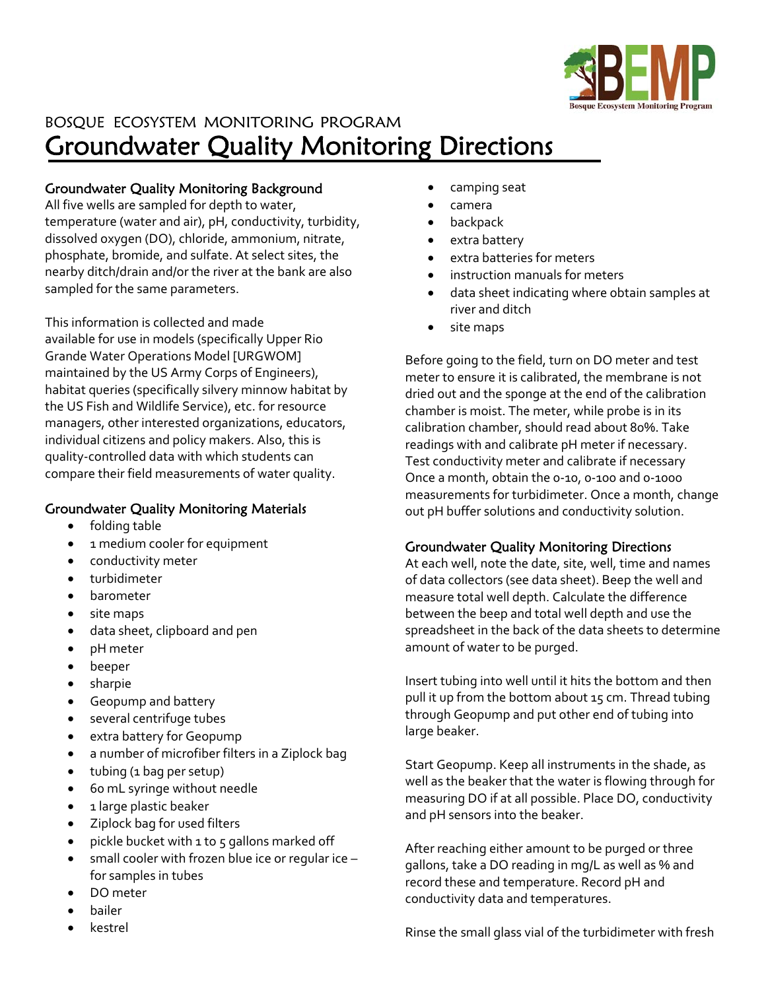

### BOSQUE ECOSYSTEM MONITORING PROGRAM Groundwater Quality Monitoring Directions

### Groundwater Quality Monitoring Background

All five wells are sampled for depth to water, temperature (water and air), pH, conductivity, turbidity, dissolved oxygen (DO), chloride, ammonium, nitrate, phosphate, bromide, and sulfate. At select sites, the nearby ditch/drain and/or the river at the bank are also sampled for the same parameters.

This information is collected and made available for use in models (specifically Upper Rio Grande Water Operations Model [URGWOM] maintained by the US Army Corps of Engineers), habitat queries (specifically silvery minnow habitat by the US Fish and Wildlife Service), etc. for resource managers, other interested organizations, educators, individual citizens and policy makers. Also, this is quality‐controlled data with which students can compare their field measurements of water quality.

### Groundwater Quality Monitoring Materials

- folding table
- 1 medium cooler for equipment
- conductivity meter
- turbidimeter
- barometer
- site maps
- data sheet, clipboard and pen
- pH meter
- beeper
- sharpie
- Geopump and battery
- several centrifuge tubes
- extra battery for Geopump
- a number of microfiber filters in a Ziplock bag
- tubing (1 bag per setup)
- 60 mL syringe without needle
- 1 large plastic beaker
- Ziplock bag for used filters
- pickle bucket with 1 to 5 gallons marked off
- small cooler with frozen blue ice or regular ice for samples in tubes
- DO meter
- bailer
- kestrel
- camping seat
- camera
- backpack
- extra battery
- extra batteries for meters
- instruction manuals for meters
- data sheet indicating where obtain samples at river and ditch
- site maps

Before going to the field, turn on DO meter and test meter to ensure it is calibrated, the membrane is not dried out and the sponge at the end of the calibration chamber is moist. The meter, while probe is in its calibration chamber, should read about 80%. Take readings with and calibrate pH meter if necessary. Test conductivity meter and calibrate if necessary Once a month, obtain the 0‐10, 0‐100 and 0‐1000 measurements for turbidimeter. Once a month, change out pH buffer solutions and conductivity solution.

#### Groundwater Quality Monitoring Directions

At each well, note the date, site, well, time and names of data collectors (see data sheet). Beep the well and measure total well depth. Calculate the difference between the beep and total well depth and use the spreadsheet in the back of the data sheets to determine amount of water to be purged.

Insert tubing into well until it hits the bottom and then pull it up from the bottom about 15 cm. Thread tubing through Geopump and put other end of tubing into large beaker.

Start Geopump. Keep all instruments in the shade, as well as the beaker that the water is flowing through for measuring DO if at all possible. Place DO, conductivity and pH sensors into the beaker.

After reaching either amount to be purged or three gallons, take a DO reading in mg/L as well as % and record these and temperature. Record pH and conductivity data and temperatures.

Rinse the small glass vial of the turbidimeter with fresh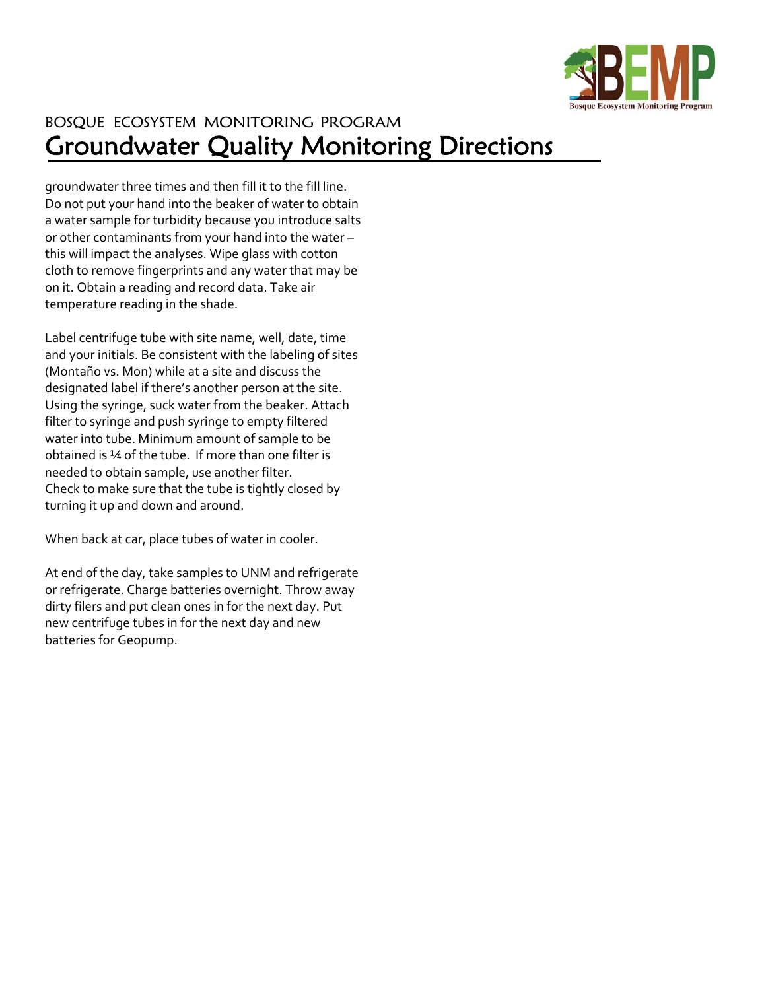

# BOSQUE ECOSYSTEM MONITORING PROGRAM Groundwater Quality Monitoring Directions

groundwater three times and then fill it to the fill line. Do not put your hand into the beaker of water to obtain a water sample for turbidity because you introduce salts or other contaminants from your hand into the water – this will impact the analyses. Wipe glass with cotton cloth to remove fingerprints and any water that may be on it. Obtain a reading and record data. Take air temperature reading in the shade.

Label centrifuge tube with site name, well, date, time and your initials. Be consistent with the labeling of sites (Montaño vs. Mon) while at a site and discuss the designated label if there's another person at the site. Using the syringe, suck water from the beaker. Attach filter to syringe and push syringe to empty filtered water into tube. Minimum amount of sample to be obtained is ¼ of the tube. If more than one filter is needed to obtain sample, use another filter. Check to make sure that the tube is tightly closed by turning it up and down and around.

When back at car, place tubes of water in cooler.

At end of the day, take samples to UNM and refrigerate or refrigerate. Charge batteries overnight. Throw away dirty filers and put clean ones in for the next day. Put new centrifuge tubes in for the next day and new batteries for Geopump.